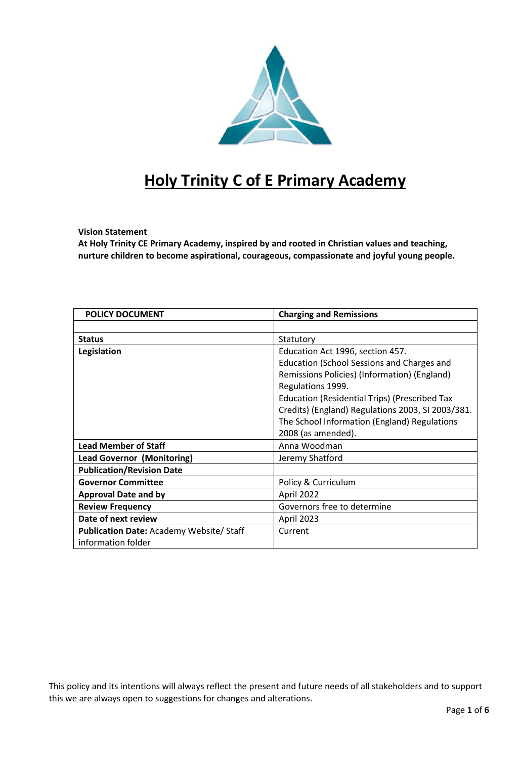

# **Holy Trinity C of E Primary Academy**

# **Vision Statement**

**At Holy Trinity CE Primary Academy, inspired by and rooted in Christian values and teaching, nurture children to become aspirational, courageous, compassionate and joyful young people.**

| <b>POLICY DOCUMENT</b>                         | <b>Charging and Remissions</b>                       |  |
|------------------------------------------------|------------------------------------------------------|--|
|                                                |                                                      |  |
| <b>Status</b>                                  | Statutory                                            |  |
| Legislation                                    | Education Act 1996, section 457.                     |  |
|                                                | Education (School Sessions and Charges and           |  |
|                                                | Remissions Policies) (Information) (England)         |  |
|                                                | Regulations 1999.                                    |  |
|                                                | <b>Education (Residential Trips) (Prescribed Tax</b> |  |
|                                                | Credits) (England) Regulations 2003, SI 2003/381.    |  |
|                                                | The School Information (England) Regulations         |  |
|                                                | 2008 (as amended).                                   |  |
| <b>Lead Member of Staff</b>                    | Anna Woodman                                         |  |
| <b>Lead Governor (Monitoring)</b>              | Jeremy Shatford                                      |  |
| <b>Publication/Revision Date</b>               |                                                      |  |
| <b>Governor Committee</b>                      | Policy & Curriculum                                  |  |
| <b>Approval Date and by</b>                    | April 2022                                           |  |
| <b>Review Frequency</b>                        | Governors free to determine                          |  |
| Date of next review                            | April 2023                                           |  |
| <b>Publication Date: Academy Website/Staff</b> | Current                                              |  |
| information folder                             |                                                      |  |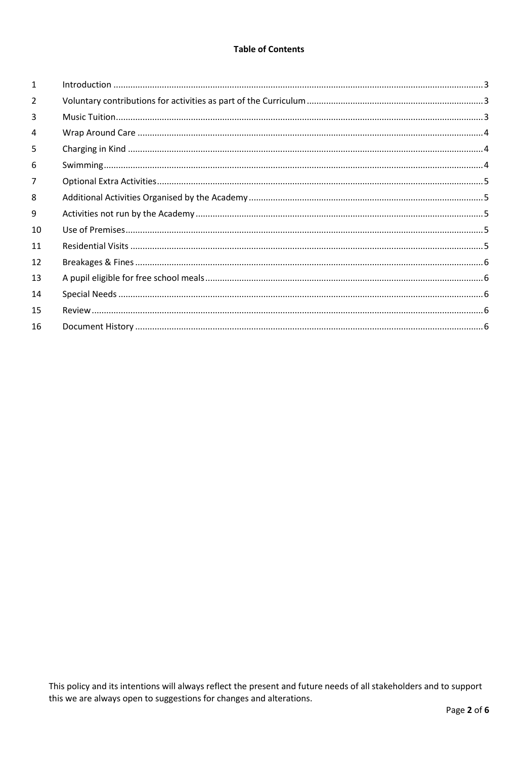## **Table of Contents**

| $\mathbf{1}$ |  |
|--------------|--|
| 2            |  |
| 3            |  |
| 4            |  |
| 5            |  |
| 6            |  |
| 7            |  |
| 8            |  |
| 9            |  |
| 10           |  |
| 11           |  |
| 12           |  |
| 13           |  |
| 14           |  |
| 15           |  |
| 16           |  |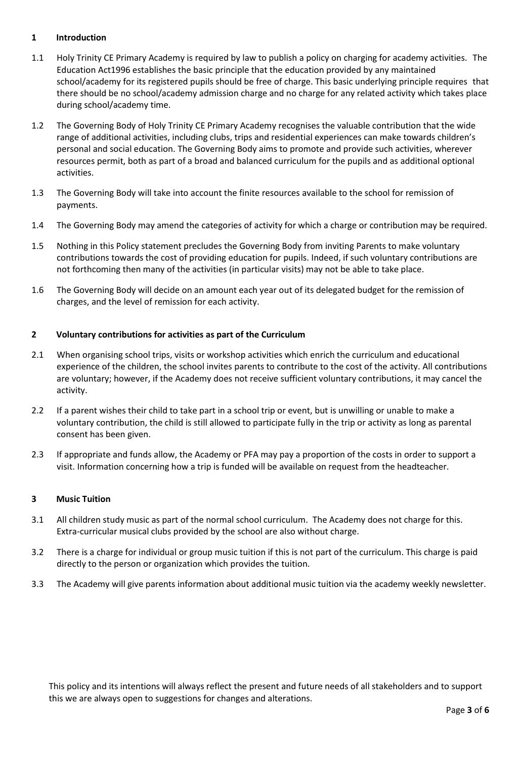# <span id="page-2-0"></span>**1 Introduction**

- 1.1 Holy Trinity CE Primary Academy is required by law to publish a policy on charging for academy activities. The Education Act1996 establishes the basic principle that the education provided by any maintained school/academy for its registered pupils should be free of charge. This basic underlying principle requires that there should be no school/academy admission charge and no charge for any related activity which takes place during school/academy time.
- 1.2 The Governing Body of Holy Trinity CE Primary Academy recognises the valuable contribution that the wide range of additional activities, including clubs, trips and residential experiences can make towards children's personal and social education. The Governing Body aims to promote and provide such activities, wherever resources permit, both as part of a broad and balanced curriculum for the pupils and as additional optional activities.
- 1.3 The Governing Body will take into account the finite resources available to the school for remission of payments.
- 1.4 The Governing Body may amend the categories of activity for which a charge or contribution may be required.
- 1.5 Nothing in this Policy statement precludes the Governing Body from inviting Parents to make voluntary contributions towards the cost of providing education for pupils. Indeed, if such voluntary contributions are not forthcoming then many of the activities (in particular visits) may not be able to take place.
- 1.6 The Governing Body will decide on an amount each year out of its delegated budget for the remission of charges, and the level of remission for each activity.

## <span id="page-2-1"></span>**2 Voluntary contributions for activities as part of the Curriculum**

- 2.1 When organising school trips, visits or workshop activities which enrich the curriculum and educational experience of the children, the school invites parents to contribute to the cost of the activity. All contributions are voluntary; however, if the Academy does not receive sufficient voluntary contributions, it may cancel the activity.
- 2.2 If a parent wishes their child to take part in a school trip or event, but is unwilling or unable to make a voluntary contribution, the child is still allowed to participate fully in the trip or activity as long as parental consent has been given.
- 2.3 If appropriate and funds allow, the Academy or PFA may pay a proportion of the costs in order to support a visit. Information concerning how a trip is funded will be available on request from the headteacher.

#### <span id="page-2-2"></span>**3 Music Tuition**

- 3.1 All children study music as part of the normal school curriculum. The Academy does not charge for this. Extra-curricular musical clubs provided by the school are also without charge.
- 3.2 There is a charge for individual or group music tuition if this is not part of the curriculum. This charge is paid directly to the person or organization which provides the tuition.
- <span id="page-2-3"></span>3.3 The Academy will give parents information about additional music tuition via the academy weekly newsletter.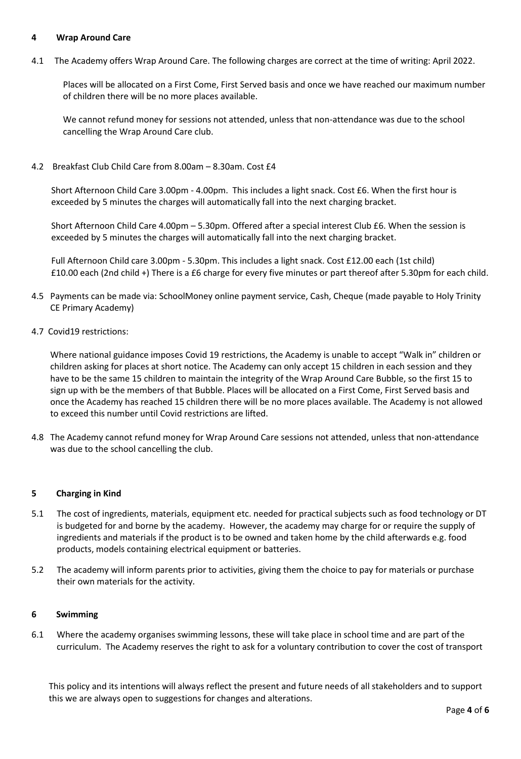## **4 Wrap Around Care**

4.1 The Academy offers Wrap Around Care. The following charges are correct at the time of writing: April 2022.

Places will be allocated on a First Come, First Served basis and once we have reached our maximum number of children there will be no more places available.

We cannot refund money for sessions not attended, unless that non-attendance was due to the school cancelling the Wrap Around Care club.

4.2 Breakfast Club Child Care from 8.00am – 8.30am. Cost £4

Short Afternoon Child Care 3.00pm - 4.00pm. This includes a light snack. Cost £6. When the first hour is exceeded by 5 minutes the charges will automatically fall into the next charging bracket.

Short Afternoon Child Care 4.00pm – 5.30pm. Offered after a special interest Club £6. When the session is exceeded by 5 minutes the charges will automatically fall into the next charging bracket.

 Full Afternoon Child care 3.00pm - 5.30pm. This includes a light snack. Cost £12.00 each (1st child) £10.00 each (2nd child +) There is a £6 charge for every five minutes or part thereof after 5.30pm for each child.

- 4.5 Payments can be made via: SchoolMoney online payment service, Cash, Cheque (made payable to Holy Trinity CE Primary Academy)
- 4.7 Covid19 restrictions:

Where national guidance imposes Covid 19 restrictions, the Academy is unable to accept "Walk in" children or children asking for places at short notice. The Academy can only accept 15 children in each session and they have to be the same 15 children to maintain the integrity of the Wrap Around Care Bubble, so the first 15 to sign up with be the members of that Bubble. Places will be allocated on a First Come, First Served basis and once the Academy has reached 15 children there will be no more places available. The Academy is not allowed to exceed this number until Covid restrictions are lifted.

4.8 The Academy cannot refund money for Wrap Around Care sessions not attended, unless that non-attendance was due to the school cancelling the club.

## <span id="page-3-0"></span>**5 Charging in Kind**

- 5.1 The cost of ingredients, materials, equipment etc. needed for practical subjects such as food technology or DT is budgeted for and borne by the academy. However, the academy may charge for or require the supply of ingredients and materials if the product is to be owned and taken home by the child afterwards e.g. food products, models containing electrical equipment or batteries.
- <span id="page-3-1"></span>5.2 The academy will inform parents prior to activities, giving them the choice to pay for materials or purchase their own materials for the activity.

#### **6 Swimming**

6.1 Where the academy organises swimming lessons, these will take place in school time and are part of the curriculum. The Academy reserves the right to ask for a voluntary contribution to cover the cost of transport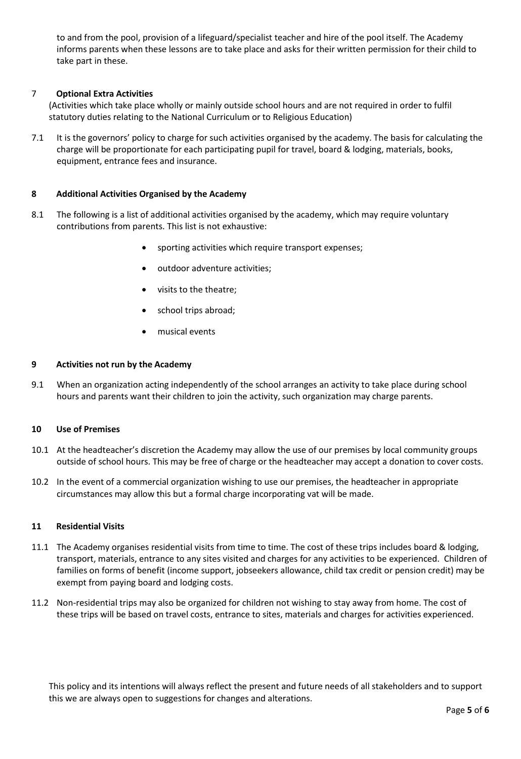<span id="page-4-0"></span>to and from the pool, provision of a lifeguard/specialist teacher and hire of the pool itself. The Academy informs parents when these lessons are to take place and asks for their written permission for their child to take part in these.

# 7 **Optional Extra Activities**

(Activities which take place wholly or mainly outside school hours and are not required in order to fulfil statutory duties relating to the National Curriculum or to Religious Education)

7.1 It is the governors' policy to charge for such activities organised by the academy. The basis for calculating the charge will be proportionate for each participating pupil for travel, board & lodging, materials, books, equipment, entrance fees and insurance.

## <span id="page-4-1"></span>**8 Additional Activities Organised by the Academy**

- 8.1 The following is a list of additional activities organised by the academy, which may require voluntary contributions from parents. This list is not exhaustive:
	- sporting activities which require transport expenses;
	- outdoor adventure activities;
	- visits to the theatre;
	- school trips abroad;
	- musical events

## <span id="page-4-2"></span>**9 Activities not run by the Academy**

<span id="page-4-3"></span>9.1 When an organization acting independently of the school arranges an activity to take place during school hours and parents want their children to join the activity, such organization may charge parents.

#### **10 Use of Premises**

- 10.1 At the headteacher's discretion the Academy may allow the use of our premises by local community groups outside of school hours. This may be free of charge or the headteacher may accept a donation to cover costs.
- 10.2 In the event of a commercial organization wishing to use our premises, the headteacher in appropriate circumstances may allow this but a formal charge incorporating vat will be made.

# <span id="page-4-4"></span>**11 Residential Visits**

- 11.1 The Academy organises residential visits from time to time. The cost of these trips includes board & lodging, transport, materials, entrance to any sites visited and charges for any activities to be experienced. Children of families on forms of benefit (income support, jobseekers allowance, child tax credit or pension credit) may be exempt from paying board and lodging costs.
- 11.2 Non-residential trips may also be organized for children not wishing to stay away from home. The cost of these trips will be based on travel costs, entrance to sites, materials and charges for activities experienced.